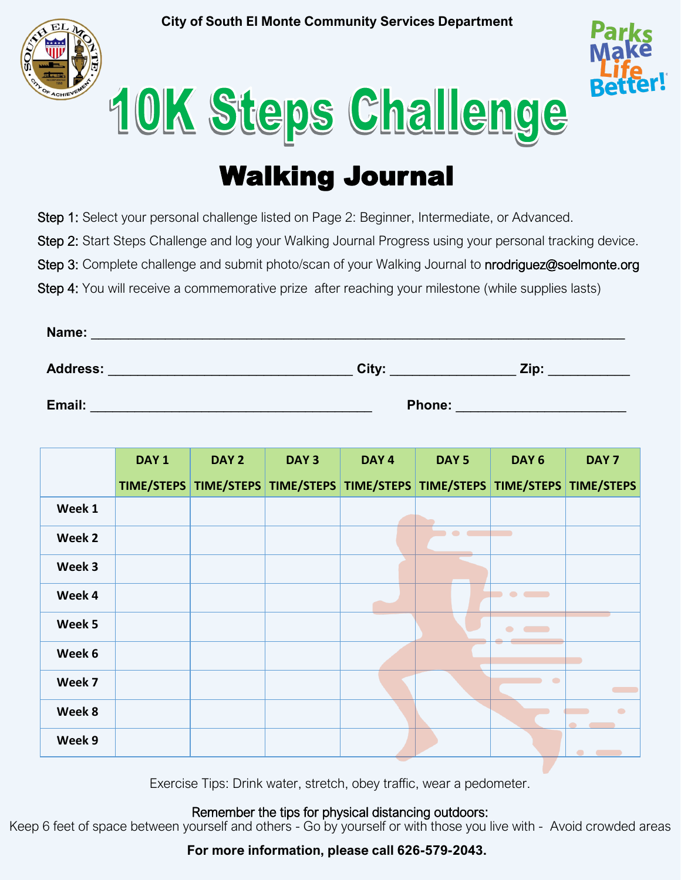**City of South El Monte Community Services Department**





## 10K Steps Challenge

## Walking Journal

Step 1: Select your personal challenge listed on Page 2: Beginner, Intermediate, or Advanced.

Step 2: Start Steps Challenge and log your Walking Journal Progress using your personal tracking device.

Step 3: Complete challenge and submit photo/scan of your Walking Journal to nrodriguez@soelmonte.org

Step 4: You will receive a commemorative prize after reaching your milestone (while supplies lasts)

| Name:           |               |      |
|-----------------|---------------|------|
| <b>Address:</b> | City:         | Zip: |
| Email:          | <b>Phone:</b> |      |

|        | DAY <sub>1</sub> | DAY <sub>2</sub> | DAY <sub>3</sub> | DAY <sub>4</sub> | DAY <sub>5</sub> | DAY <sub>6</sub>                                                             | DAY <sub>7</sub>            |
|--------|------------------|------------------|------------------|------------------|------------------|------------------------------------------------------------------------------|-----------------------------|
|        |                  |                  |                  |                  |                  | TIME/STEPS TIME/STEPS TIME/STEPS TIME/STEPS TIME/STEPS TIME/STEPS TIME/STEPS |                             |
| Week 1 |                  |                  |                  |                  |                  |                                                                              |                             |
| Week 2 |                  |                  |                  |                  | $\blacksquare$   |                                                                              |                             |
| Week 3 |                  |                  |                  |                  |                  |                                                                              |                             |
| Week 4 |                  |                  |                  |                  |                  | $\qquad \bullet \ \bullet$                                                   |                             |
| Week 5 |                  |                  |                  |                  |                  | $\bullet$<br>$\sim$                                                          |                             |
| Week 6 |                  |                  |                  |                  |                  |                                                                              |                             |
| Week 7 |                  |                  |                  |                  |                  | $\bullet$                                                                    |                             |
| Week 8 |                  |                  |                  |                  |                  |                                                                              | $\bullet$<br>$\blacksquare$ |
| Week 9 |                  |                  |                  |                  |                  |                                                                              |                             |

Exercise Tips: Drink water, stretch, obey traffic, wear a pedometer.

Remember the tips for physical distancing outdoors:

Keep 6 feet of space between yourself and others - Go by yourself or with those you live with - Avoid crowded areas

**For more information, please call 626-579-2043.**